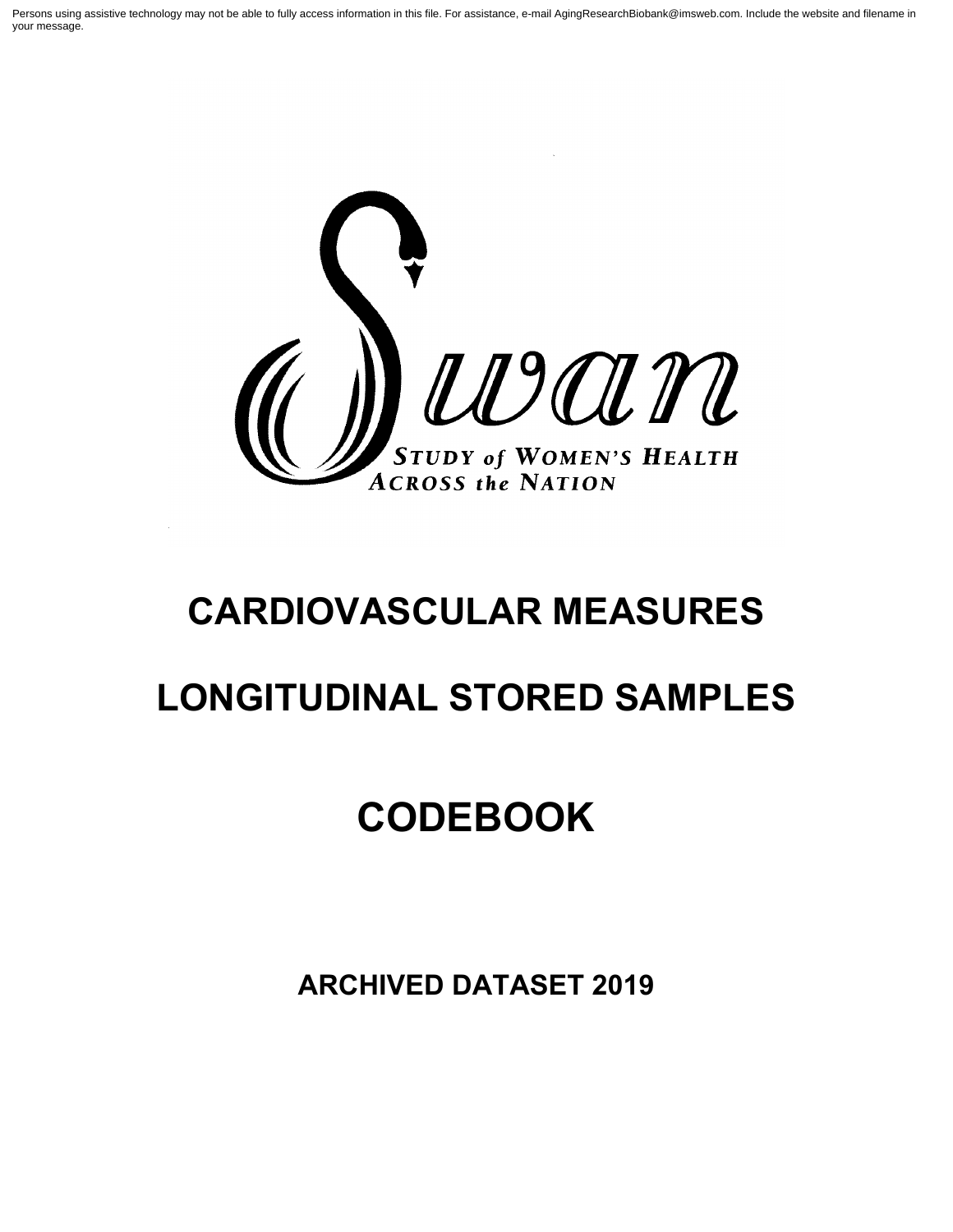Persons using assistive technology may not be able to fully access information in this file. For assistance, e-mail AgingResearchBiobank@imsweb.com. Include the website and filename in your message.



### **CARDIOVASCULAR MEASURES**

## **LONGITUDINAL STORED SAMPLES**

# **CODEBOOK**

**ARCHIVED DATASET 2019**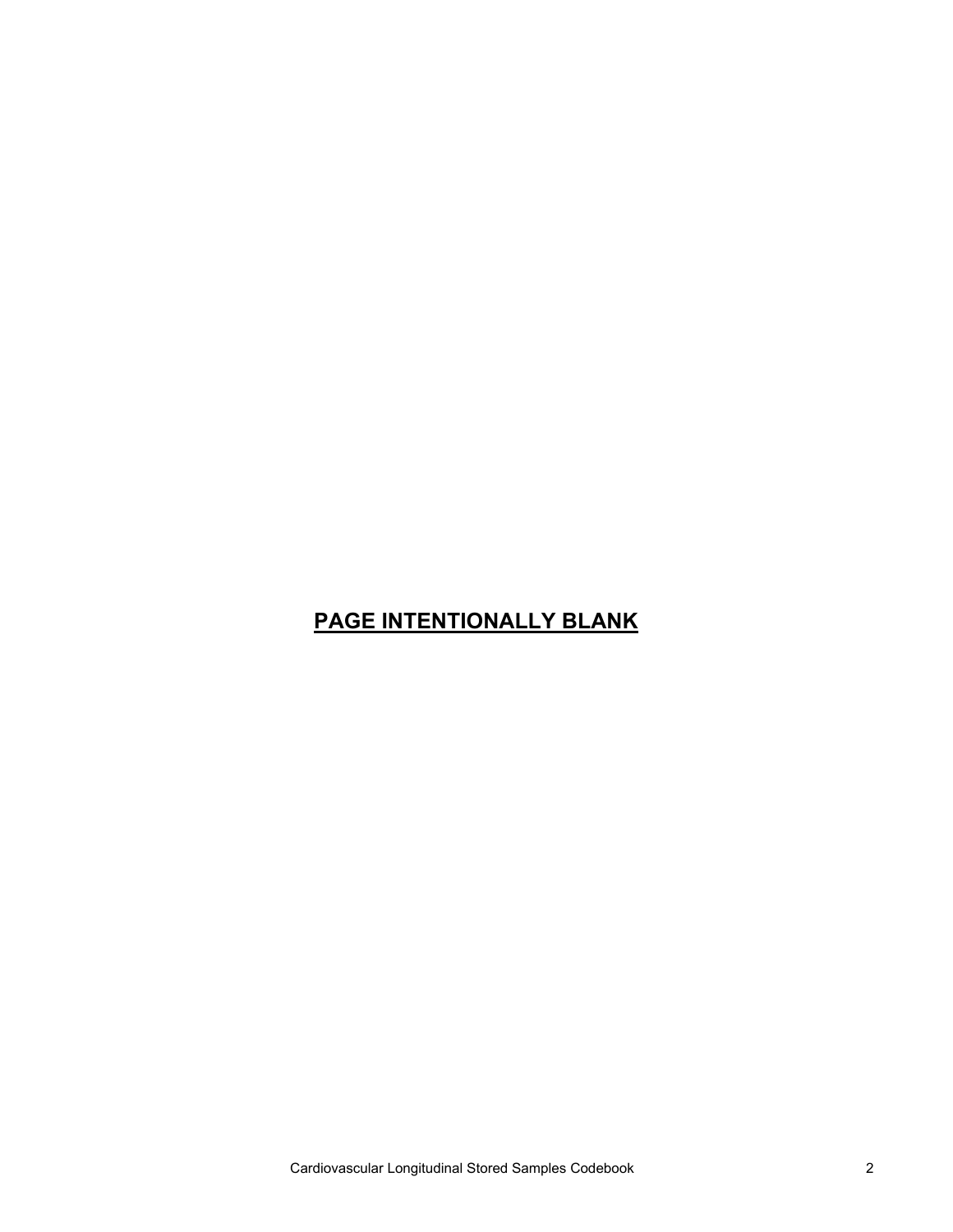### **PAGE INTENTIONALLY BLANK**